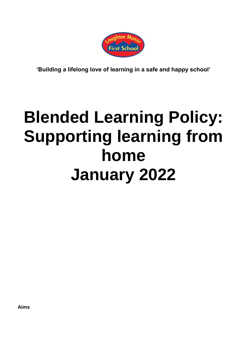

**'Building a lifelong love of learning in a safe and happy school'**

# **Blended Learning Policy: Supporting learning from home January 2022**

**Aims**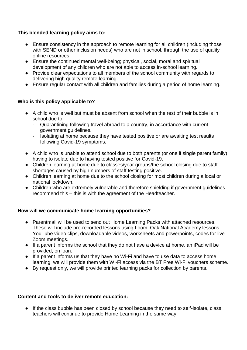# **This blended learning policy aims to:**

- Ensure consistency in the approach to remote learning for all children (including those with SEND or other inclusion needs) who are not in school, through the use of quality online resources.
- Ensure the continued mental well-being; physical, social, moral and spiritual development of any children who are not able to access in-school learning.
- Provide clear expectations to all members of the school community with regards to delivering high quality remote learning.
- Ensure regular contact with all children and families during a period of home learning.

# **Who is this policy applicable to?**

- A child who is well but must be absent from school when the rest of their bubble is in school due to:
	- Quarantining following travel abroad to a country, in accordance with current government guidelines.
	- Isolating at home because they have tested positive or are awaiting test results following Covid-19 symptoms.
- A child who is unable to attend school due to both parents (or one if single parent family) having to isolate due to having tested positive for Covid-19.
- Children learning at home due to classes/year groups/the school closing due to staff shortages caused by high numbers of staff testing positive.
- Children learning at home due to the school closing for most children during a local or national lockdown.
- Children who are extremely vulnerable and therefore shielding if government quidelines recommend this – this is with the agreement of the Headteacher.

# **How will we communicate home learning opportunities?**

- Parentmail will be used to send out Home Learning Packs with attached resources. These will include pre-recorded lessons using Loom, Oak National Academy lessons, YouTube video clips, downloadable videos, worksheets and powerpoints, codes for live Zoom meetings.
- If a parent informs the school that they do not have a device at home, an iPad will be provided, on loan.
- If a parent informs us that they have no Wi-Fi and have to use data to access home learning, we will provide them with Wi-Fi access via the BT Free Wi-Fi vouchers scheme.
- By request only, we will provide printed learning packs for collection by parents.

#### **Content and tools to deliver remote education:**

● If the class bubble has been closed by school because they need to self-isolate, class teachers will continue to provide Home Learning in the same way.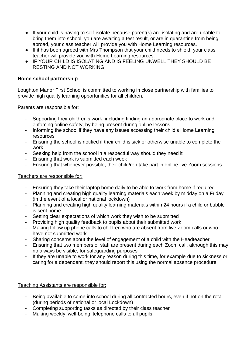- If your child is having to self-isolate because parent(s) are isolating and are unable to bring them into school, you are awaiting a test result, or are in quarantine from being abroad, your class teacher will provide you with Home Learning resources.
- If it has been agreed with Mrs Thompson that your child needs to shield, your class teacher will provide you with Home Learning resources.
- IF YOUR CHILD IS ISOLATING AND IS FEELING UNWELL THEY SHOULD BE RESTING AND NOT WORKING.

## **Home school partnership**

Loughton Manor First School is committed to working in close partnership with families to provide high quality learning opportunities for all children.

#### Parents are responsible for:

- Supporting their children's work, including finding an appropriate place to work and enforcing online safety, by being present during online lessons
- Informing the school if they have any issues accessing their child's Home Learning resources
- Ensuring the school is notified if their child is sick or otherwise unable to complete the work
- Seeking help from the school in a respectful way should they need it
- Ensuring that work is submitted each week
- Ensuring that whenever possible, their child/ren take part in online live Zoom sessions

# Teachers are responsible for:

- Ensuring they take their laptop home daily to be able to work from home if required
- Planning and creating high quality learning materials each week by midday on a Friday (in the event of a local or national lockdown)
- Planning and creating high quality learning materials within 24 hours if a child or bubble is sent home
- Setting clear expectations of which work they wish to be submitted
- Providing high quality feedback to pupils about their submitted work
- Making follow up phone calls to children who are absent from live Zoom calls or who have not submitted work
- Sharing concerns about the level of engagement of a child with the Headteacher
- Ensuring that two members of staff are present during each Zoom call, although this may no always be visible, for safeguarding purposes
- If they are unable to work for any reason during this time, for example due to sickness or caring for a dependent, they should report this using the normal absence procedure

Teaching Assistants are responsible for:

- Being available to come into school during all contracted hours, even if not on the rota (during periods of national or local Lockdown)
- Completing supporting tasks as directed by their class teacher
- Making weekly 'well-being' telephone calls to all pupils